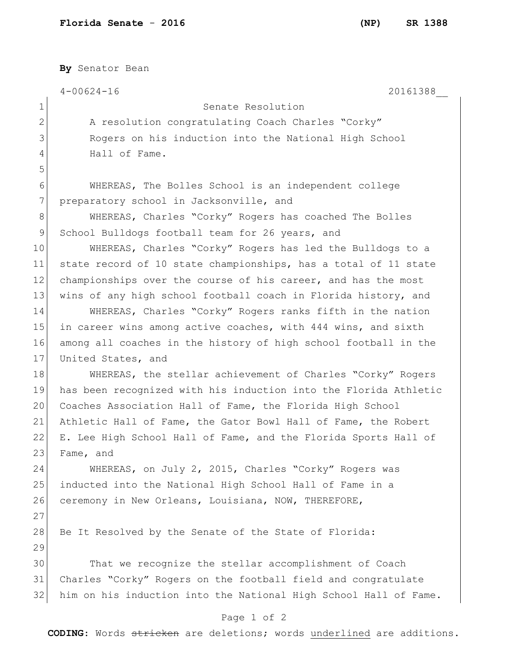**By** Senator Bean 4-00624-16 20161388\_\_ 1 Senate Resolution 2 A resolution congratulating Coach Charles "Corky" 3 Rogers on his induction into the National High School 4 Hall of Fame. 5 6 WHEREAS, The Bolles School is an independent college 7 preparatory school in Jacksonville, and 8 WHEREAS, Charles "Corky" Rogers has coached The Bolles 9 School Bulldogs football team for 26 years, and 10 WHEREAS, Charles "Corky" Rogers has led the Bulldogs to a 11 state record of 10 state championships, has a total of 11 state 12 championships over the course of his career, and has the most 13 wins of any high school football coach in Florida history, and 14 WHEREAS, Charles "Corky" Rogers ranks fifth in the nation 15 in career wins among active coaches, with 444 wins, and sixth 16 among all coaches in the history of high school football in the 17 United States, and 18 WHEREAS, the stellar achievement of Charles "Corky" Rogers 19 has been recognized with his induction into the Florida Athletic 20 Coaches Association Hall of Fame, the Florida High School 21 Athletic Hall of Fame, the Gator Bowl Hall of Fame, the Robert 22 E. Lee High School Hall of Fame, and the Florida Sports Hall of 23 Fame, and 24 WHEREAS, on July 2, 2015, Charles "Corky" Rogers was 25 inducted into the National High School Hall of Fame in a 26 ceremony in New Orleans, Louisiana, NOW, THEREFORE, 27 28 Be It Resolved by the Senate of the State of Florida: 29 30 That we recognize the stellar accomplishment of Coach 31 Charles "Corky" Rogers on the football field and congratulate 32 him on his induction into the National High School Hall of Fame.

## Page 1 of 2

**CODING**: Words stricken are deletions; words underlined are additions.